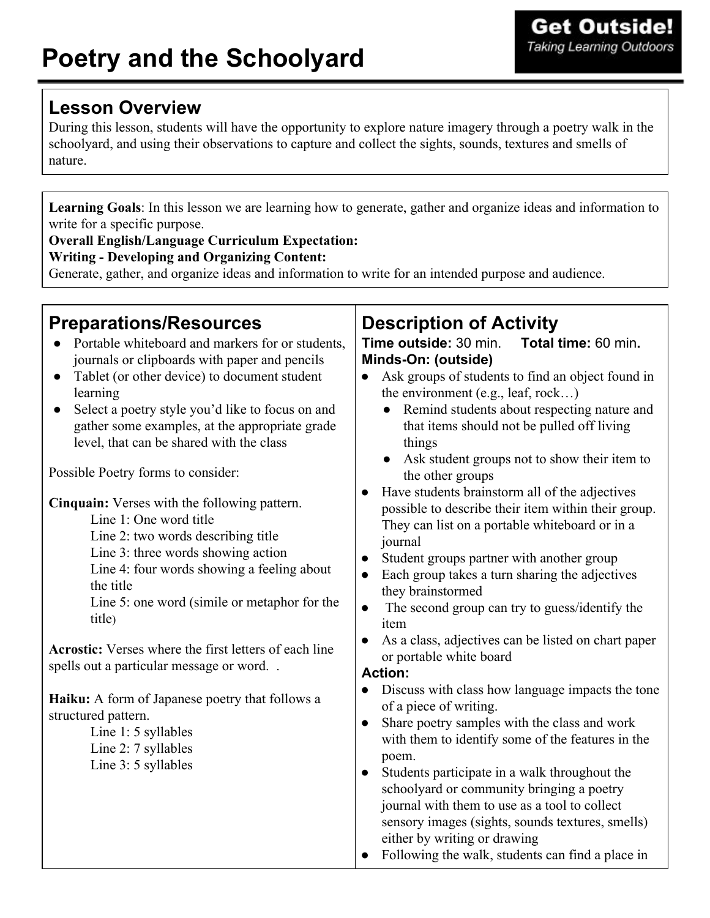### **Get Outside! Taking Learning Outdoors**

# **Lesson Overview**

During this lesson, students will have the opportunity to explore nature imagery through a poetry walk in the schoolyard, and using their observations to capture and collect the sights, sounds, textures and smells of nature.

**Learning Goals**: In this lesson we are learning how to generate, gather and organize ideas and information to write for a specific purpose.

### **Overall English/Language Curriculum Expectation:**

#### **Writing Developing and Organizing Content:**

Generate, gather, and organize ideas and information to write for an intended purpose and audience.

# **Preparations/Resources**

- Portable whiteboard and markers for or students, journals or clipboards with paper and pencils
- Tablet (or other device) to document student learning
- Select a poetry style you'd like to focus on and gather some examples, at the appropriate grade level, that can be shared with the class

Possible Poetry forms to consider:

**Cinquain:** Verses with the following pattern.

#### Line 1: One word title

- Line 2: two words describing title
- Line 3: three words showing action
- Line 4: four words showing a feeling about the title

Line 5: one word (simile or metaphor for the title)

**Acrostic:**Verses where the first letters of each line spells out a particular message or word. .

**Haiku:**A form of Japanese poetry that follows a structured pattern.

Line 1: 5 syllables Line 2: 7 syllables Line 3: 5 syllables

# **Description of Activity**

**Time outside:** 30 min. **Total time:** 60 min**. Minds-On: (outside)** 

- Ask groups of students to find an object found in the environment (e.g., leaf, rock…)
	- Remind students about respecting nature and that items should not be pulled off living things
	- Ask student groups not to show their item to the other groups
- Have students brainstorm all of the adjectives possible to describe their item within their group. They can list on a portable whiteboard or in a journal
- Student groups partner with another group
- Each group takes a turn sharing the adjectives they brainstormed
- The second group can try to guess/identify the item
- As a class, adjectives can be listed on chart paper or portable white board

#### **Action:**

- Discuss with class how language impacts the tone of a piece of writing.
- Share poetry samples with the class and work with them to identify some of the features in the poem.
- Students participate in a walk throughout the schoolyard or community bringing a poetry journal with them to use as a tool to collect sensory images (sights, sounds textures, smells) either by writing or drawing
- Following the walk, students can find a place in